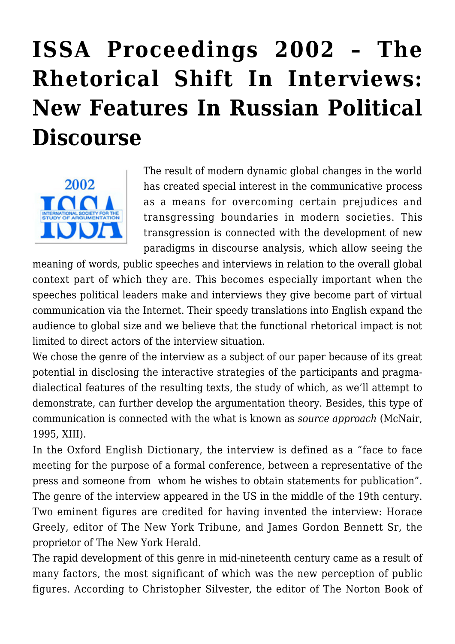# **[ISSA Proceedings 2002 – The](https://rozenbergquarterly.com/issa-proceedings-2002-the-rhetorical-shift-in-interviews-new-features-in-russian-political-discourse/) [Rhetorical Shift In Interviews:](https://rozenbergquarterly.com/issa-proceedings-2002-the-rhetorical-shift-in-interviews-new-features-in-russian-political-discourse/) [New Features In Russian Political](https://rozenbergquarterly.com/issa-proceedings-2002-the-rhetorical-shift-in-interviews-new-features-in-russian-political-discourse/) [Discourse](https://rozenbergquarterly.com/issa-proceedings-2002-the-rhetorical-shift-in-interviews-new-features-in-russian-political-discourse/)**



The result of modern dynamic global changes in the world has created special interest in the communicative process as a means for overcoming certain prejudices and transgressing boundaries in modern societies. This transgression is connected with the development of new paradigms in discourse analysis, which allow seeing the

meaning of words, public speeches and interviews in relation to the overall global context part of which they are. This becomes especially important when the speeches political leaders make and interviews they give become part of virtual communication via the Internet. Their speedy translations into English expand the audience to global size and we believe that the functional rhetorical impact is not limited to direct actors of the interview situation.

We chose the genre of the interview as a subject of our paper because of its great potential in disclosing the interactive strategies of the participants and pragmadialectical features of the resulting texts, the study of which, as we'll attempt to demonstrate, can further develop the argumentation theory. Besides, this type of communication is connected with the what is known as *source approach* (McNair, 1995, XIII).

In the Oxford English Dictionary, the interview is defined as a "face to face meeting for the purpose of a formal conference, between a representative of the press and someone from whom he wishes to obtain statements for publication". The genre of the interview appeared in the US in the middle of the 19th century. Two eminent figures are credited for having invented the interview: Horace Greely, editor of The New York Tribune, and James Gordon Bennett Sr, the proprietor of The New York Herald.

The rapid development of this genre in mid-nineteenth century came as a result of many factors, the most significant of which was the new perception of public figures. According to Christopher Silvester, the editor of The Norton Book of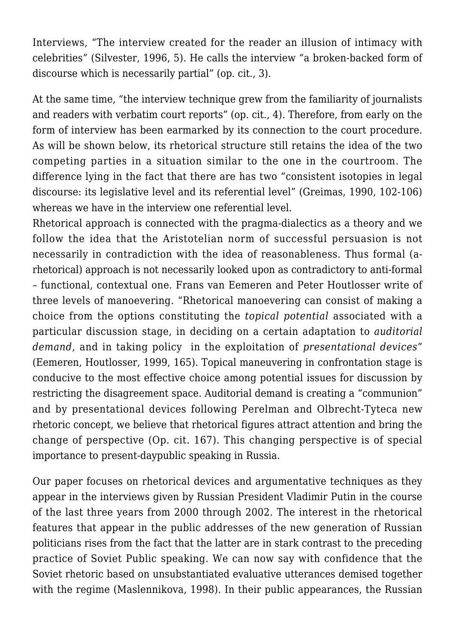Interviews, "The interview created for the reader an illusion of intimacy with celebrities" (Silvester, 1996, 5). He calls the interview "a broken-backed form of discourse which is necessarily partial" (op. cit., 3).

At the same time, "the interview technique grew from the familiarity of journalists and readers with verbatim court reports" (op. cit., 4). Therefore, from early on the form of interview has been earmarked by its connection to the court procedure. As will be shown below, its rhetorical structure still retains the idea of the two competing parties in a situation similar to the one in the courtroom. The difference lying in the fact that there are has two "consistent isotopies in legal discourse: its legislative level and its referential level" (Greimas, 1990, 102-106) whereas we have in the interview one referential level.

Rhetorical approach is connected with the pragma-dialectics as a theory and we follow the idea that the Aristotelian norm of successful persuasion is not necessarily in contradiction with the idea of reasonableness. Thus formal (arhetorical) approach is not necessarily looked upon as contradictory to anti-formal – functional, contextual one. Frans van Eemeren and Peter Houtlosser write of three levels of manoevering. "Rhetorical manoevering can consist of making a choice from the options constituting the *topical potential* associated with a particular discussion stage, in deciding on a certain adaptation to *auditorial demand*, and in taking policy in the exploitation of *presentational devices*" (Eemeren, Houtlosser, 1999, 165). Topical maneuvering in confrontation stage is conducive to the most effective choice among potential issues for discussion by restricting the disagreement space. Auditorial demand is creating a "communion" and by presentational devices following Perelman and Olbrecht-Tyteca new rhetoric concept, we believe that rhetorical figures attract attention and bring the change of perspective (Op. cit. 167). This changing perspective is of special importance to present-daypublic speaking in Russia.

Our paper focuses on rhetorical devices and argumentative techniques as they appear in the interviews given by Russian President Vladimir Putin in the course of the last three years from 2000 through 2002. The interest in the rhetorical features that appear in the public addresses of the new generation of Russian politicians rises from the fact that the latter are in stark contrast to the preceding practice of Soviet Public speaking. We can now say with confidence that the Soviet rhetoric based on unsubstantiated evaluative utterances demised together with the regime (Maslennikova, 1998). In their public appearances, the Russian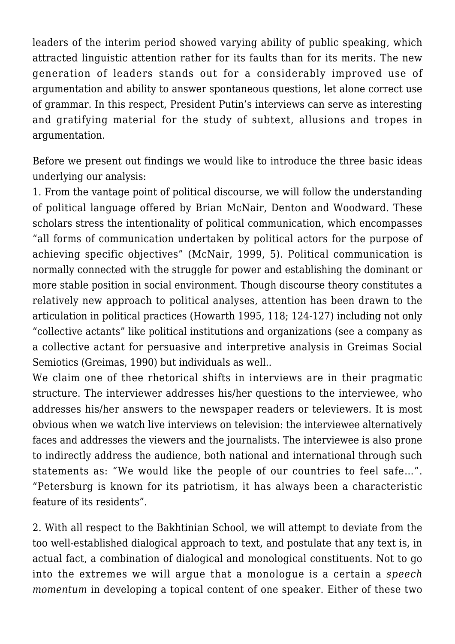leaders of the interim period showed varying ability of public speaking, which attracted linguistic attention rather for its faults than for its merits. The new generation of leaders stands out for a considerably improved use of argumentation and ability to answer spontaneous questions, let alone correct use of grammar. In this respect, President Putin's interviews can serve as interesting and gratifying material for the study of subtext, allusions and tropes in argumentation.

Before we present out findings we would like to introduce the three basic ideas underlying our analysis:

1. From the vantage point of political discourse, we will follow the understanding of political language offered by Brian McNair, Denton and Woodward. These scholars stress the intentionality of political communication, which encompasses "all forms of communication undertaken by political actors for the purpose of achieving specific objectives" (McNair, 1999, 5). Political communication is normally connected with the struggle for power and establishing the dominant or more stable position in social environment. Though discourse theory constitutes a relatively new approach to political analyses, attention has been drawn to the articulation in political practices (Howarth 1995, 118; 124-127) including not only "collective actants" like political institutions and organizations (see a company as a collective actant for persuasive and interpretive analysis in Greimas Social Semiotics (Greimas, 1990) but individuals as well..

We claim one of thee rhetorical shifts in interviews are in their pragmatic structure. The interviewer addresses his/her questions to the interviewee, who addresses his/her answers to the newspaper readers or televiewers. It is most obvious when we watch live interviews on television: the interviewee alternatively faces and addresses the viewers and the journalists. The interviewee is also prone to indirectly address the audience, both national and international through such statements as: "We would like the people of our countries to feel safe…". "Petersburg is known for its patriotism, it has always been a characteristic feature of its residents".

2. With all respect to the Bakhtinian School, we will attempt to deviate from the too well-established dialogical approach to text, and postulate that any text is, in actual fact, a combination of dialogical and monological constituents. Not to go into the extremes we will argue that a monologue is a certain a *speech momentum* in developing a topical content of one speaker. Either of these two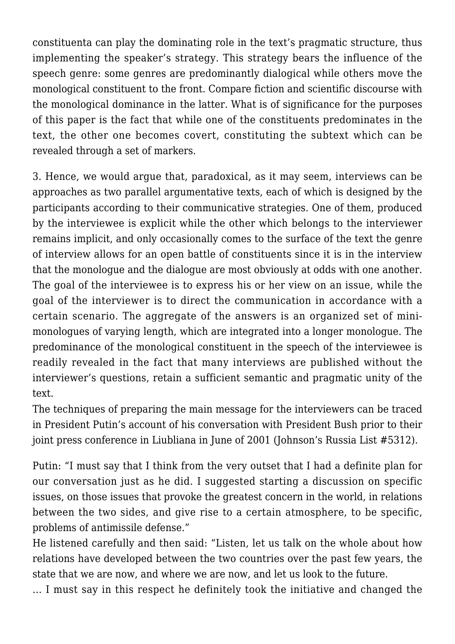constituenta can play the dominating role in the text's pragmatic structure, thus implementing the speaker's strategy. This strategy bears the influence of the speech genre: some genres are predominantly dialogical while others move the monological constituent to the front. Compare fiction and scientific discourse with the monological dominance in the latter. What is of significance for the purposes of this paper is the fact that while one of the constituents predominates in the text, the other one becomes covert, constituting the subtext which can be revealed through a set of markers.

3. Hence, we would argue that, paradoxical, as it may seem, interviews can be approaches as two parallel argumentative texts, each of which is designed by the participants according to their communicative strategies. One of them, produced by the interviewee is explicit while the other which belongs to the interviewer remains implicit, and only occasionally comes to the surface of the text the genre of interview allows for an open battle of constituents since it is in the interview that the monologue and the dialogue are most obviously at odds with one another. The goal of the interviewee is to express his or her view on an issue, while the goal of the interviewer is to direct the communication in accordance with a certain scenario. The aggregate of the answers is an organized set of minimonologues of varying length, which are integrated into a longer monologue. The predominance of the monological constituent in the speech of the interviewee is readily revealed in the fact that many interviews are published without the interviewer's questions, retain a sufficient semantic and pragmatic unity of the text.

The techniques of preparing the main message for the interviewers can be traced in President Putin's account of his conversation with President Bush prior to their joint press conference in Liubliana in June of 2001 (Johnson's Russia List #5312).

Putin: "I must say that I think from the very outset that I had a definite plan for our conversation just as he did. I suggested starting a discussion on specific issues, on those issues that provoke the greatest concern in the world, in relations between the two sides, and give rise to a certain atmosphere, to be specific, problems of antimissile defense."

He listened carefully and then said: "Listen, let us talk on the whole about how relations have developed between the two countries over the past few years, the state that we are now, and where we are now, and let us look to the future.

… I must say in this respect he definitely took the initiative and changed the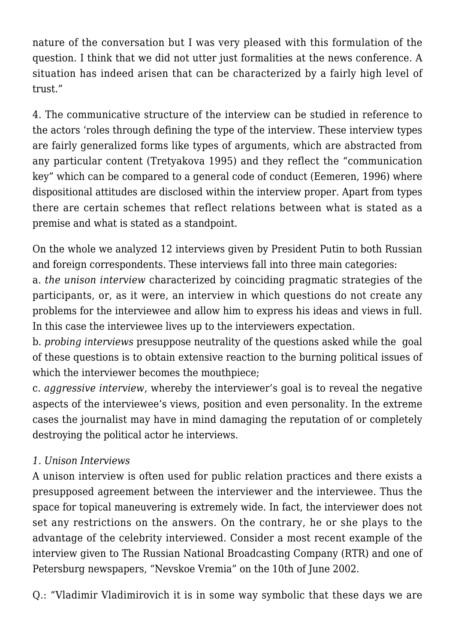nature of the conversation but I was very pleased with this formulation of the question. I think that we did not utter just formalities at the news conference. A situation has indeed arisen that can be characterized by a fairly high level of trust."

4. The communicative structure of the interview can be studied in reference to the actors 'roles through defining the type of the interview. These interview types are fairly generalized forms like types of arguments, which are abstracted from any particular content (Tretyakova 1995) and they reflect the "communication key" which can be compared to a general code of conduct (Eemeren, 1996) where dispositional attitudes are disclosed within the interview proper. Apart from types there are certain schemes that reflect relations between what is stated as a premise and what is stated as a standpoint.

On the whole we analyzed 12 interviews given by President Putin to both Russian and foreign correspondents. These interviews fall into three main categories:

a. *the unison interview* characterized by coinciding pragmatic strategies of the participants, or, as it were, an interview in which questions do not create any problems for the interviewee and allow him to express his ideas and views in full. In this case the interviewee lives up to the interviewers expectation.

b. *probing interviews* presuppose neutrality of the questions asked while the goal of these questions is to obtain extensive reaction to the burning political issues of which the interviewer becomes the mouthpiece:

c. *aggressive interview*, whereby the interviewer's goal is to reveal the negative aspects of the interviewee's views, position and even personality. In the extreme cases the journalist may have in mind damaging the reputation of or completely destroying the political actor he interviews.

## *1. Unison Interviews*

A unison interview is often used for public relation practices and there exists a presupposed agreement between the interviewer and the interviewee. Thus the space for topical maneuvering is extremely wide. In fact, the interviewer does not set any restrictions on the answers. On the contrary, he or she plays to the advantage of the celebrity interviewed. Consider a most recent example of the interview given to The Russian National Broadcasting Company (RTR) and one of Petersburg newspapers, "Nevskoe Vremia" on the 10th of June 2002.

Q.: "Vladimir Vladimirovich it is in some way symbolic that these days we are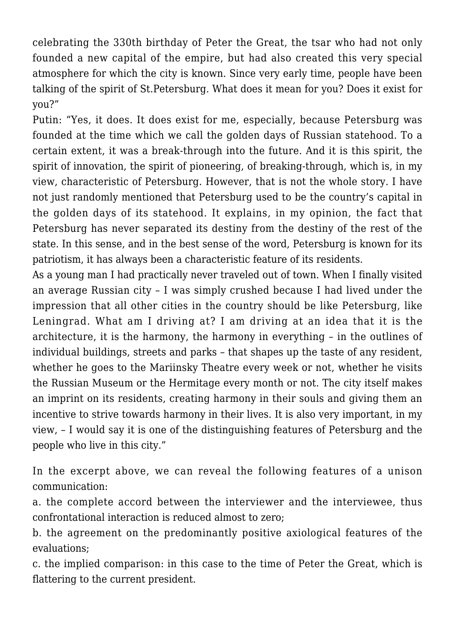celebrating the 330th birthday of Peter the Great, the tsar who had not only founded a new capital of the empire, but had also created this very special atmosphere for which the city is known. Since very early time, people have been talking of the spirit of St.Petersburg. What does it mean for you? Does it exist for you?"

Putin: "Yes, it does. It does exist for me, especially, because Petersburg was founded at the time which we call the golden days of Russian statehood. To a certain extent, it was a break-through into the future. And it is this spirit, the spirit of innovation, the spirit of pioneering, of breaking-through, which is, in my view, characteristic of Petersburg. However, that is not the whole story. I have not just randomly mentioned that Petersburg used to be the country's capital in the golden days of its statehood. It explains, in my opinion, the fact that Petersburg has never separated its destiny from the destiny of the rest of the state. In this sense, and in the best sense of the word, Petersburg is known for its patriotism, it has always been a characteristic feature of its residents.

As a young man I had practically never traveled out of town. When I finally visited an average Russian city – I was simply crushed because I had lived under the impression that all other cities in the country should be like Petersburg, like Leningrad. What am I driving at? I am driving at an idea that it is the architecture, it is the harmony, the harmony in everything – in the outlines of individual buildings, streets and parks – that shapes up the taste of any resident, whether he goes to the Mariinsky Theatre every week or not, whether he visits the Russian Museum or the Hermitage every month or not. The city itself makes an imprint on its residents, creating harmony in their souls and giving them an incentive to strive towards harmony in their lives. It is also very important, in my view, – I would say it is one of the distinguishing features of Petersburg and the people who live in this city."

In the excerpt above, we can reveal the following features of a unison communication:

a. the complete accord between the interviewer and the interviewee, thus confrontational interaction is reduced almost to zero;

b. the agreement on the predominantly positive axiological features of the evaluations;

c. the implied comparison: in this case to the time of Peter the Great, which is flattering to the current president.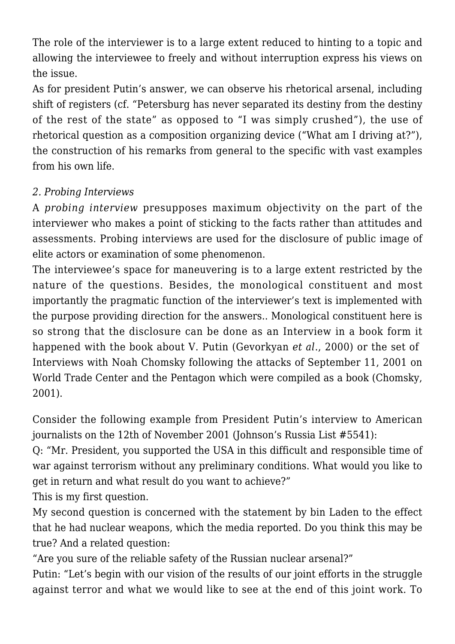The role of the interviewer is to a large extent reduced to hinting to a topic and allowing the interviewee to freely and without interruption express his views on the issue.

As for president Putin's answer, we can observe his rhetorical arsenal, including shift of registers (cf. "Petersburg has never separated its destiny from the destiny of the rest of the state" as opposed to "I was simply crushed"), the use of rhetorical question as a composition organizing device ("What am I driving at?"), the construction of his remarks from general to the specific with vast examples from his own life.

## *2. Probing Interviews*

A *probing interview* presupposes maximum objectivity on the part of the interviewer who makes a point of sticking to the facts rather than attitudes and assessments. Probing interviews are used for the disclosure of public image of elite actors or examination of some phenomenon.

The interviewee's space for maneuvering is to a large extent restricted by the nature of the questions. Besides, the monological constituent and most importantly the pragmatic function of the interviewer's text is implemented with the purpose providing direction for the answers.. Monological constituent here is so strong that the disclosure can be done as an Interview in a book form it happened with the book about V. Putin (Gevorkyan *et al*., 2000) or the set of Interviews with Noah Chomsky following the attacks of September 11, 2001 on World Trade Center and the Pentagon which were compiled as a book (Chomsky, 2001).

Consider the following example from President Putin's interview to American journalists on the 12th of November 2001 (Johnson's Russia List #5541):

Q: "Mr. President, you supported the USA in this difficult and responsible time of war against terrorism without any preliminary conditions. What would you like to get in return and what result do you want to achieve?"

This is my first question.

My second question is concerned with the statement by bin Laden to the effect that he had nuclear weapons, which the media reported. Do you think this may be true? And a related question:

"Are you sure of the reliable safety of the Russian nuclear arsenal?"

Putin: "Let's begin with our vision of the results of our joint efforts in the struggle against terror and what we would like to see at the end of this joint work. To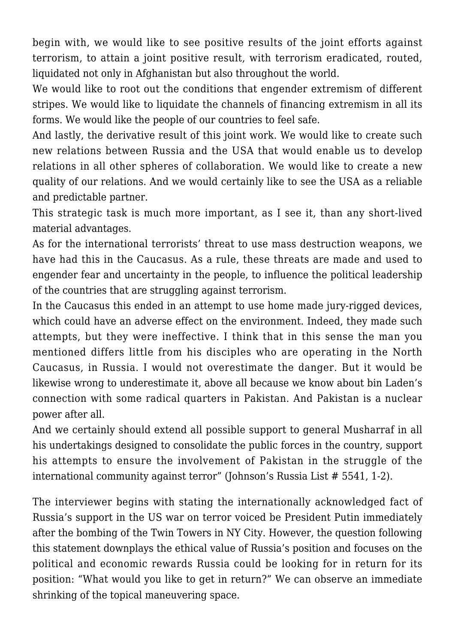begin with, we would like to see positive results of the joint efforts against terrorism, to attain a joint positive result, with terrorism eradicated, routed, liquidated not only in Afghanistan but also throughout the world.

We would like to root out the conditions that engender extremism of different stripes. We would like to liquidate the channels of financing extremism in all its forms. We would like the people of our countries to feel safe.

And lastly, the derivative result of this joint work. We would like to create such new relations between Russia and the USA that would enable us to develop relations in all other spheres of collaboration. We would like to create a new quality of our relations. And we would certainly like to see the USA as a reliable and predictable partner.

This strategic task is much more important, as I see it, than any short-lived material advantages.

As for the international terrorists' threat to use mass destruction weapons, we have had this in the Caucasus. As a rule, these threats are made and used to engender fear and uncertainty in the people, to influence the political leadership of the countries that are struggling against terrorism.

In the Caucasus this ended in an attempt to use home made jury-rigged devices. which could have an adverse effect on the environment. Indeed, they made such attempts, but they were ineffective. I think that in this sense the man you mentioned differs little from his disciples who are operating in the North Caucasus, in Russia. I would not overestimate the danger. But it would be likewise wrong to underestimate it, above all because we know about bin Laden's connection with some radical quarters in Pakistan. And Pakistan is a nuclear power after all.

And we certainly should extend all possible support to general Musharraf in all his undertakings designed to consolidate the public forces in the country, support his attempts to ensure the involvement of Pakistan in the struggle of the international community against terror" (Johnson's Russia List # 5541, 1-2).

The interviewer begins with stating the internationally acknowledged fact of Russia's support in the US war on terror voiced be President Putin immediately after the bombing of the Twin Towers in NY City. However, the question following this statement downplays the ethical value of Russia's position and focuses on the political and economic rewards Russia could be looking for in return for its position: "What would you like to get in return?" We can observe an immediate shrinking of the topical maneuvering space.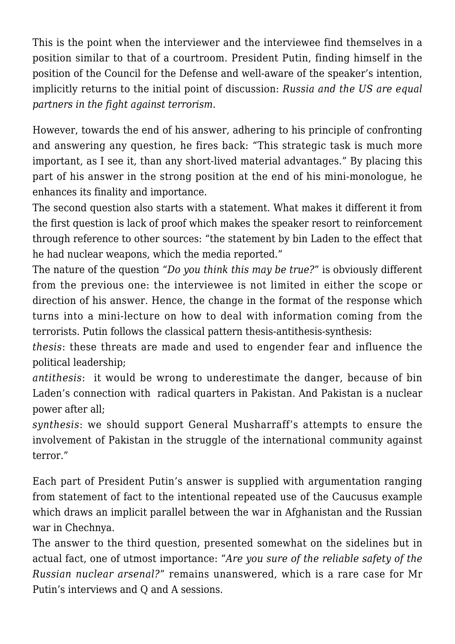This is the point when the interviewer and the interviewee find themselves in a position similar to that of a courtroom. President Putin, finding himself in the position of the Council for the Defense and well-aware of the speaker's intention, implicitly returns to the initial point of discussion: *Russia and the US are equal partners in the fight against terrorism.*

However, towards the end of his answer, adhering to his principle of confronting and answering any question, he fires back: "This strategic task is much more important, as I see it, than any short-lived material advantages." By placing this part of his answer in the strong position at the end of his mini-monologue, he enhances its finality and importance.

The second question also starts with a statement. What makes it different it from the first question is lack of proof which makes the speaker resort to reinforcement through reference to other sources: "the statement by bin Laden to the effect that he had nuclear weapons, which the media reported."

The nature of the question "*Do you think this may be true?*" is obviously different from the previous one: the interviewee is not limited in either the scope or direction of his answer. Hence, the change in the format of the response which turns into a mini-lecture on how to deal with information coming from the terrorists. Putin follows the classical pattern thesis-antithesis-synthesis:

*thesis*: these threats are made and used to engender fear and influence the political leadership;

*antithesis*: it would be wrong to underestimate the danger, because of bin Laden's connection with radical quarters in Pakistan. And Pakistan is a nuclear power after all;

*synthesis*: we should support General Musharraff's attempts to ensure the involvement of Pakistan in the struggle of the international community against terror."

Each part of President Putin's answer is supplied with argumentation ranging from statement of fact to the intentional repeated use of the Caucusus example which draws an implicit parallel between the war in Afghanistan and the Russian war in Chechnya.

The answer to the third question, presented somewhat on the sidelines but in actual fact, one of utmost importance: "*Are you sure of the reliable safety of the Russian nuclear arsenal?*" remains unanswered, which is a rare case for Mr Putin's interviews and Q and A sessions.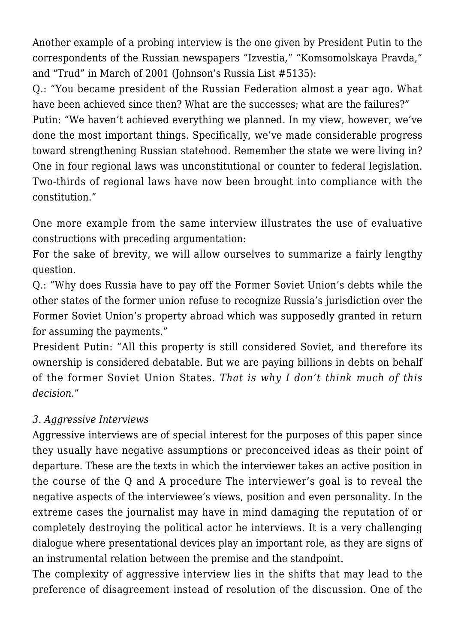Another example of a probing interview is the one given by President Putin to the correspondents of the Russian newspapers "Izvestia," "Komsomolskaya Pravda," and "Trud" in March of 2001 (Johnson's Russia List #5135):

Q.: "You became president of the Russian Federation almost a year ago. What have been achieved since then? What are the successes; what are the failures?" Putin: "We haven't achieved everything we planned. In my view, however, we've done the most important things. Specifically, we've made considerable progress toward strengthening Russian statehood. Remember the state we were living in? One in four regional laws was unconstitutional or counter to federal legislation. Two-thirds of regional laws have now been brought into compliance with the constitution."

One more example from the same interview illustrates the use of evaluative constructions with preceding argumentation:

For the sake of brevity, we will allow ourselves to summarize a fairly lengthy question.

Q.: "Why does Russia have to pay off the Former Soviet Union's debts while the other states of the former union refuse to recognize Russia's jurisdiction over the Former Soviet Union's property abroad which was supposedly granted in return for assuming the payments."

President Putin: "All this property is still considered Soviet, and therefore its ownership is considered debatable. But we are paying billions in debts on behalf of the former Soviet Union States. *That is why I don't think much of this decision*."

### *3. Aggressive Interviews*

Aggressive interviews are of special interest for the purposes of this paper since they usually have negative assumptions or preconceived ideas as their point of departure. These are the texts in which the interviewer takes an active position in the course of the Q and A procedure The interviewer's goal is to reveal the negative aspects of the interviewee's views, position and even personality. In the extreme cases the journalist may have in mind damaging the reputation of or completely destroying the political actor he interviews. It is a very challenging dialogue where presentational devices play an important role, as they are signs of an instrumental relation between the premise and the standpoint.

The complexity of aggressive interview lies in the shifts that may lead to the preference of disagreement instead of resolution of the discussion. One of the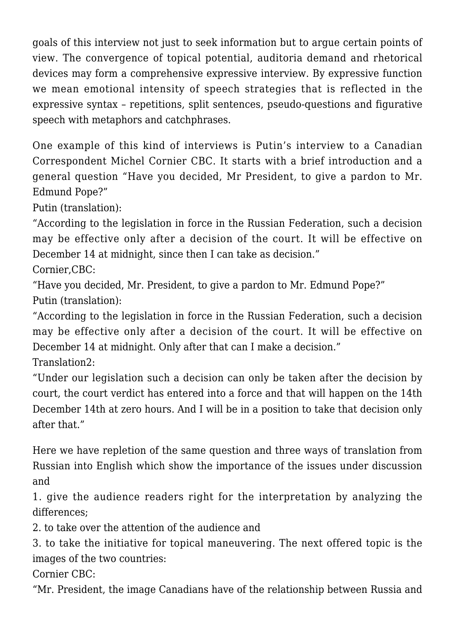goals of this interview not just to seek information but to argue certain points of view. The convergence of topical potential, auditoria demand and rhetorical devices may form a comprehensive expressive interview. By expressive function we mean emotional intensity of speech strategies that is reflected in the expressive syntax – repetitions, split sentences, pseudo-questions and figurative speech with metaphors and catchphrases.

One example of this kind of interviews is Putin's interview to a Canadian Correspondent Michel Cornier CBC. It starts with a brief introduction and a general question "Have you decided, Mr President, to give a pardon to Mr. Edmund Pope?"

Putin (translation):

"According to the legislation in force in the Russian Federation, such a decision may be effective only after a decision of the court. It will be effective on December 14 at midnight, since then I can take as decision."

Cornier,CBC:

"Have you decided, Mr. President, to give a pardon to Mr. Edmund Pope?" Putin (translation):

"According to the legislation in force in the Russian Federation, such a decision may be effective only after a decision of the court. It will be effective on December 14 at midnight. Only after that can I make a decision."

Translation2:

"Under our legislation such a decision can only be taken after the decision by court, the court verdict has entered into a force and that will happen on the 14th December 14th at zero hours. And I will be in a position to take that decision only after that."

Here we have repletion of the same question and three ways of translation from Russian into English which show the importance of the issues under discussion and

1. give the audience readers right for the interpretation by analyzing the differences;

2. to take over the attention of the audience and

3. to take the initiative for topical maneuvering. The next offered topic is the images of the two countries:

Cornier CBC:

"Mr. President, the image Canadians have of the relationship between Russia and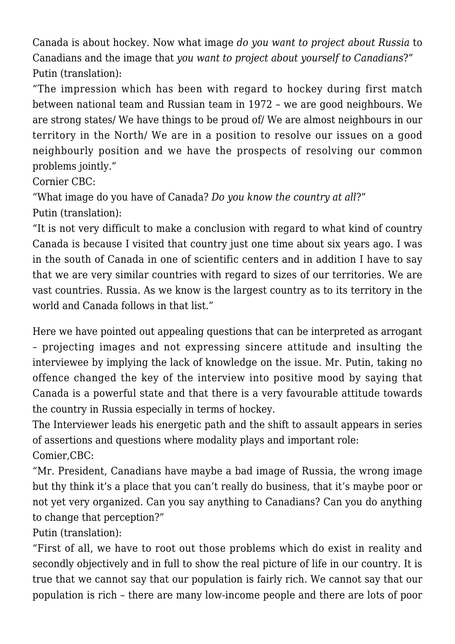Canada is about hockey. Now what image *do you want to project about Russia* to Canadians and the image that *you want to project about yourself to Canadians*?" Putin (translation):

"The impression which has been with regard to hockey during first match between national team and Russian team in 1972 – we are good neighbours. We are strong states/ We have things to be proud of/ We are almost neighbours in our territory in the North/ We are in a position to resolve our issues on a good neighbourly position and we have the prospects of resolving our common problems jointly."

Cornier CBC:

"What image do you have of Canada? *Do you know the country at all*?" Putin (translation):

"It is not very difficult to make a conclusion with regard to what kind of country Canada is because I visited that country just one time about six years ago. I was in the south of Canada in one of scientific centers and in addition I have to say that we are very similar countries with regard to sizes of our territories. We are vast countries. Russia. As we know is the largest country as to its territory in the world and Canada follows in that list."

Here we have pointed out appealing questions that can be interpreted as arrogant – projecting images and not expressing sincere attitude and insulting the interviewee by implying the lack of knowledge on the issue. Mr. Putin, taking no offence changed the key of the interview into positive mood by saying that Canada is a powerful state and that there is a very favourable attitude towards the country in Russia especially in terms of hockey.

The Interviewer leads his energetic path and the shift to assault appears in series of assertions and questions where modality plays and important role: Comier,CBC:

"Mr. President, Canadians have maybe a bad image of Russia, the wrong image but thy think it's a place that you can't really do business, that it's maybe poor or not yet very organized. Can you say anything to Canadians? Can you do anything to change that perception?"

Putin (translation):

"First of all, we have to root out those problems which do exist in reality and secondly objectively and in full to show the real picture of life in our country. It is true that we cannot say that our population is fairly rich. We cannot say that our population is rich – there are many low-income people and there are lots of poor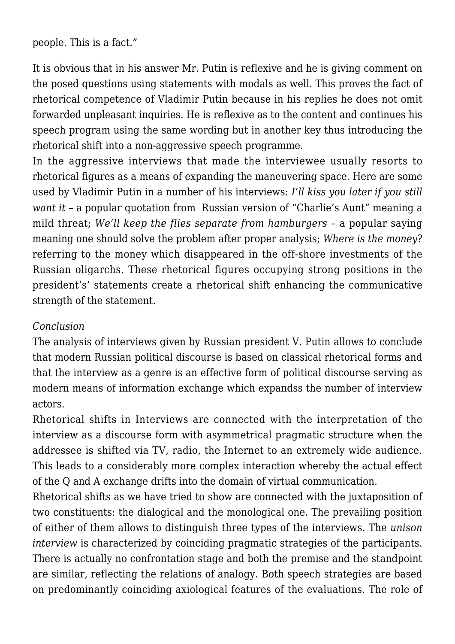people. This is a fact."

It is obvious that in his answer Mr. Putin is reflexive and he is giving comment on the posed questions using statements with modals as well. This proves the fact of rhetorical competence of Vladimir Putin because in his replies he does not omit forwarded unpleasant inquiries. He is reflexive as to the content and continues his speech program using the same wording but in another key thus introducing the rhetorical shift into a non-aggressive speech programme.

In the aggressive interviews that made the interviewee usually resorts to rhetorical figures as a means of expanding the maneuvering space. Here are some used by Vladimir Putin in a number of his interviews: *I'll kiss you later if you still want it* – a popular quotation from Russian version of "Charlie's Aunt" meaning a mild threat; *We'll keep the flies separate from hamburgers* – a popular saying meaning one should solve the problem after proper analysis; *Where is the money*? referring to the money which disappeared in the off-shore investments of the Russian oligarchs. These rhetorical figures occupying strong positions in the president's' statements create a rhetorical shift enhancing the communicative strength of the statement.

#### *Conclusion*

The analysis of interviews given by Russian president V. Putin allows to conclude that modern Russian political discourse is based on classical rhetorical forms and that the interview as a genre is an effective form of political discourse serving as modern means of information exchange which expandss the number of interview actors.

Rhetorical shifts in Interviews are connected with the interpretation of the interview as a discourse form with asymmetrical pragmatic structure when the addressee is shifted via TV, radio, the Internet to an extremely wide audience. This leads to a considerably more complex interaction whereby the actual effect of the Q and A exchange drifts into the domain of virtual communication.

Rhetorical shifts as we have tried to show are connected with the juxtaposition of two constituents: the dialogical and the monological one. The prevailing position of either of them allows to distinguish three types of the interviews. The *unison interview* is characterized by coinciding pragmatic strategies of the participants. There is actually no confrontation stage and both the premise and the standpoint are similar, reflecting the relations of analogy. Both speech strategies are based on predominantly coinciding axiological features of the evaluations. The role of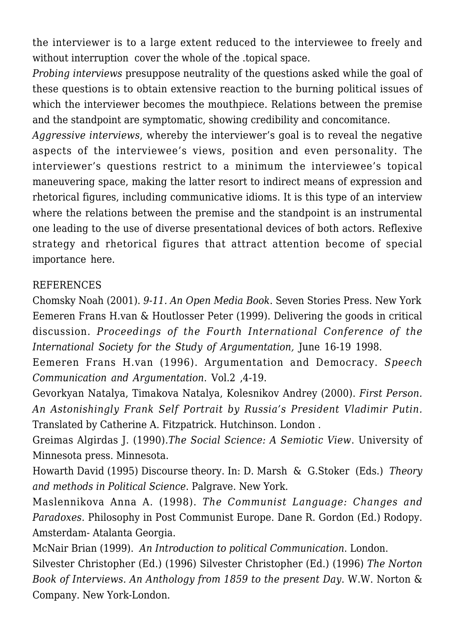the interviewer is to a large extent reduced to the interviewee to freely and without interruption cover the whole of the .topical space.

*Probing interviews* presuppose neutrality of the questions asked while the goal of these questions is to obtain extensive reaction to the burning political issues of which the interviewer becomes the mouthpiece. Relations between the premise and the standpoint are symptomatic, showing credibility and concomitance.

*Aggressive interviews*, whereby the interviewer's goal is to reveal the negative aspects of the interviewee's views, position and even personality. The interviewer's questions restrict to a minimum the interviewee's topical maneuvering space, making the latter resort to indirect means of expression and rhetorical figures, including communicative idioms. It is this type of an interview where the relations between the premise and the standpoint is an instrumental one leading to the use of diverse presentational devices of both actors. Reflexive strategy and rhetorical figures that attract attention become of special importance here.

#### REFERENCES

Chomsky Noah (2001). *9-11. An Open Media Book*. Seven Stories Press. New York Eemeren Frans H.van & Houtlosser Peter (1999). Delivering the goods in critical discussion. *Proceedings of the Fourth International Conference of the International Society for the Study of Argumentation,* June 16-19 1998.

Eemeren Frans H.van (1996). Argumentation and Democracy. *Speech Communication and Argumentation*. Vol.2 ,4-19.

Gevorkyan Natalya, Timakova Natalya, Kolesnikov Andrey (2000). *First Person. An Astonishingly Frank Self Portrait by Russia's President Vladimir Putin.* Translated by Catherine A. Fitzpatrick. Hutchinson. London .

Greimas Algirdas J. (1990).*The Social Science: A Semiotic View*. University of Minnesota press. Minnesota.

Howarth David (1995) Discourse theory. In: D. Marsh & G.Stoker (Eds.) *Theory and methods in Political Science*. Palgrave. New York.

Maslennikova Anna A. (1998). *The Communist Language: Changes and Paradoxes.* Philosophy in Post Communist Europe. Dane R. Gordon (Ed.) Rodopy. Amsterdam- Atalanta Georgia.

McNair Brian (1999). *An Introduction to political Communication*. London.

Silvester Christopher (Ed.) (1996) Silvester Christopher (Ed.) (1996) *The Norton Book of Interviews. An Anthology from 1859 to the present Day*. W.W. Norton & Company. New York-London.